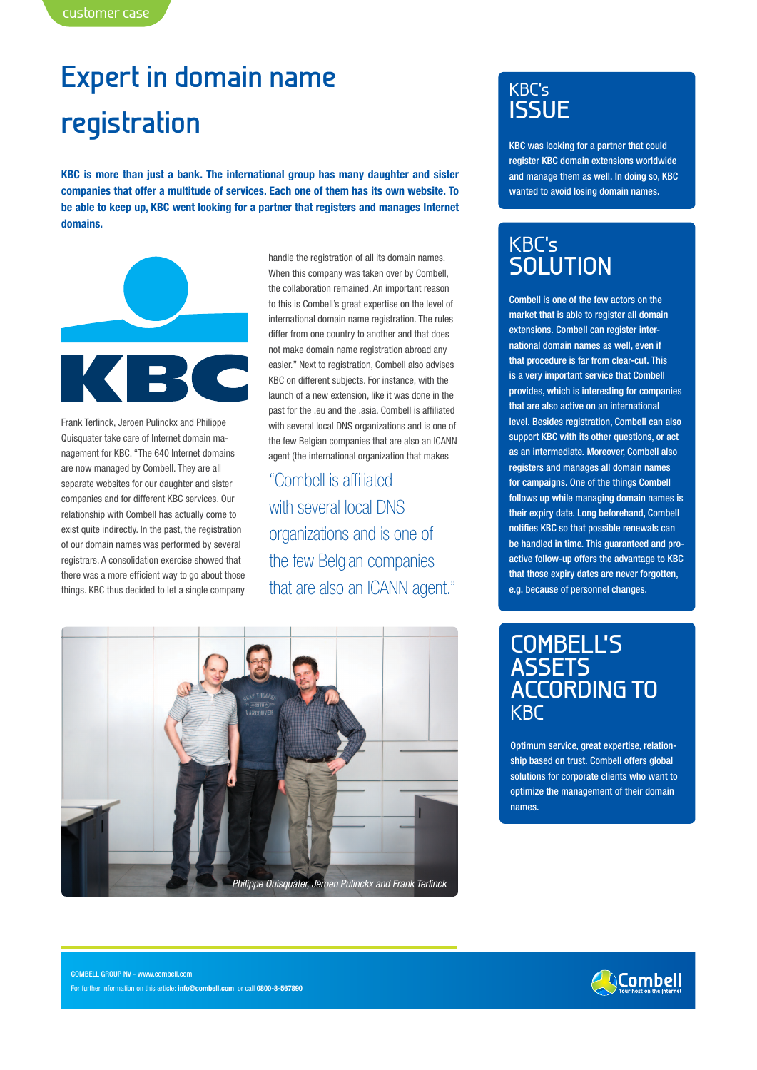## **Expert in domain name registration**

**KBC is more than just a bank. The international group has many daughter and sister companies that offer a multitude of services. Each one of them has its own website. To be able to keep up, KBC went looking for a partner that registers and manages Internet domains.**



Frank Terlinck, Jeroen Pulinckx and Philippe Quisquater take care of Internet domain management for KBC. "The 640 Internet domains are now managed by Combell. They are all separate websites for our daughter and sister companies and for different KBC services. Our relationship with Combell has actually come to exist quite indirectly. In the past, the registration of our domain names was performed by several registrars. A consolidation exercise showed that there was a more efficient way to go about those things. KBC thus decided to let a single company handle the registration of all its domain names. When this company was taken over by Combell, the collaboration remained. An important reason to this is Combell's great expertise on the level of international domain name registration. The rules differ from one country to another and that does not make domain name registration abroad any easier." Next to registration, Combell also advises KBC on different subjects. For instance, with the launch of a new extension, like it was done in the past for the .eu and the .asia. Combell is affiliated with several local DNS organizations and is one of the few Belgian companies that are also an ICANN agent (the international organization that makes

"Combell is affiliated with several local DNS organizations and is one of the few Belgian companies that are also an ICANN agent."



## KBC's **ISSUE**

KBC was looking for a partner that could register KBC domain extensions worldwide and manage them as well. In doing so, KBC wanted to avoid losing domain names.

## KBC's **SOLUTION**

Combell is one of the few actors on the market that is able to register all domain extensions. Combell can register international domain names as well, even if that procedure is far from clear-cut. This is a very important service that Combell provides, which is interesting for companies that are also active on an international level. Besides registration, Combell can also support KBC with its other questions, or act as an intermediate. Moreover, Combell also registers and manages all domain names for campaigns. One of the things Combell follows up while managing domain names is their expiry date. Long beforehand, Combell notifies KBC so that possible renewals can be handled in time. This guaranteed and proactive follow-up offers the advantage to KBC that those expiry dates are never forgotten, e.g. because of personnel changes.

## **COMBELL'S ASSETS ACCORDING TO KBC**

Optimum service, great expertise, relationship based on trust. Combell offers global solutions for corporate clients who want to optimize the management of their domain names.